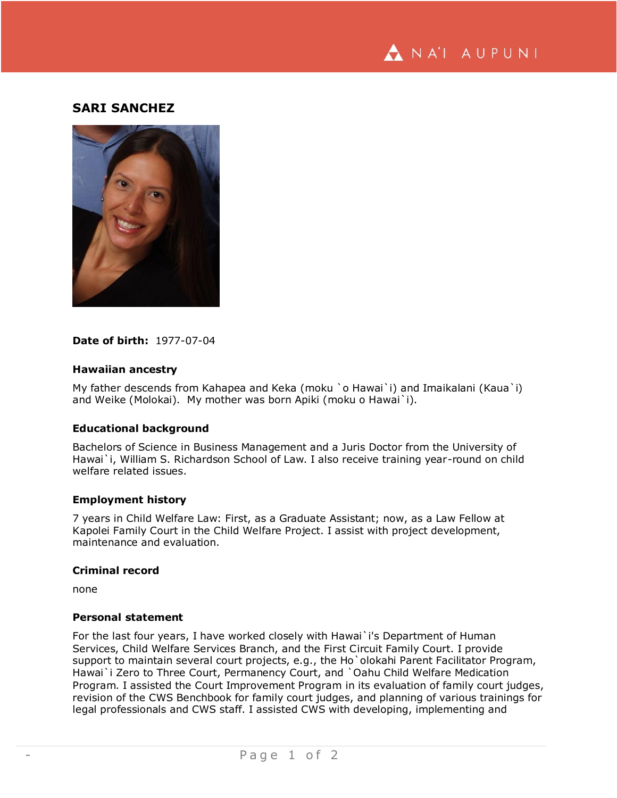

# **SARI SANCHEZ**



# **Date of birth:** 1977-07-04

# **Hawaiian ancestry**

My father descends from Kahapea and Keka (moku `o Hawai`i) and Imaikalani (Kaua`i) and Weike (Molokai). My mother was born Apiki (moku o Hawai`i).

#### **Educational background**

Bachelors of Science in Business Management and a Juris Doctor from the University of Hawai`i, William S. Richardson School of Law. I also receive training year-round on child welfare related issues.

#### **Employment history**

7 years in Child Welfare Law: First, as a Graduate Assistant; now, as a Law Fellow at Kapolei Family Court in the Child Welfare Project. I assist with project development, maintenance and evaluation.

# **Criminal record**

none

# **Personal statement**

For the last four years, I have worked closely with Hawai`i's Department of Human Services, Child Welfare Services Branch, and the First Circuit Family Court. I provide support to maintain several court projects, e.g., the Ho`olokahi Parent Facilitator Program, Hawai`i Zero to Three Court, Permanency Court, and `Oahu Child Welfare Medication Program. I assisted the Court Improvement Program in its evaluation of family court judges, revision of the CWS Benchbook for family court judges, and planning of various trainings for legal professionals and CWS staff. I assisted CWS with developing, implementing and